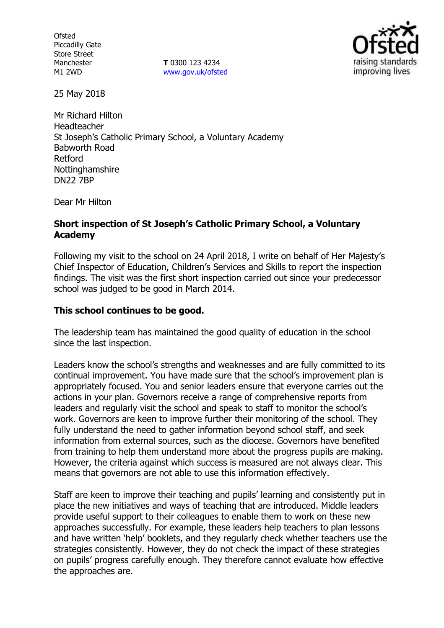**Ofsted** Piccadilly Gate Store Street Manchester M1 2WD

**T** 0300 123 4234 www.gov.uk/ofsted



25 May 2018

Mr Richard Hilton Headteacher St Joseph's Catholic Primary School, a Voluntary Academy Babworth Road Retford Nottinghamshire DN22 7BP

Dear Mr Hilton

# **Short inspection of St Joseph's Catholic Primary School, a Voluntary Academy**

Following my visit to the school on 24 April 2018, I write on behalf of Her Majesty's Chief Inspector of Education, Children's Services and Skills to report the inspection findings. The visit was the first short inspection carried out since your predecessor school was judged to be good in March 2014.

# **This school continues to be good.**

The leadership team has maintained the good quality of education in the school since the last inspection.

Leaders know the school's strengths and weaknesses and are fully committed to its continual improvement. You have made sure that the school's improvement plan is appropriately focused. You and senior leaders ensure that everyone carries out the actions in your plan. Governors receive a range of comprehensive reports from leaders and regularly visit the school and speak to staff to monitor the school's work. Governors are keen to improve further their monitoring of the school. They fully understand the need to gather information beyond school staff, and seek information from external sources, such as the diocese. Governors have benefited from training to help them understand more about the progress pupils are making. However, the criteria against which success is measured are not always clear. This means that governors are not able to use this information effectively.

Staff are keen to improve their teaching and pupils' learning and consistently put in place the new initiatives and ways of teaching that are introduced. Middle leaders provide useful support to their colleagues to enable them to work on these new approaches successfully. For example, these leaders help teachers to plan lessons and have written 'help' booklets, and they regularly check whether teachers use the strategies consistently. However, they do not check the impact of these strategies on pupils' progress carefully enough. They therefore cannot evaluate how effective the approaches are.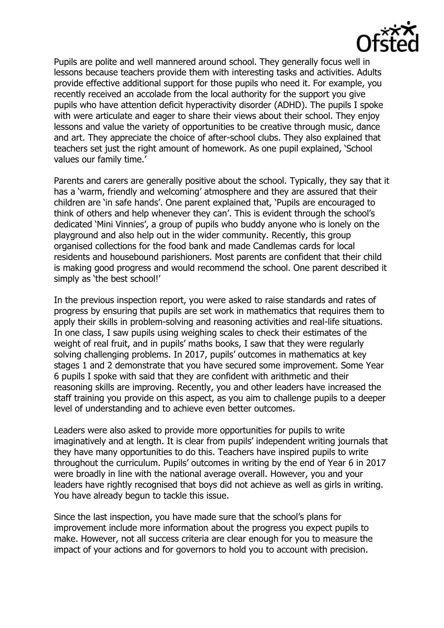

Pupils are polite and well mannered around school. They generally focus well in lessons because teachers provide them with interesting tasks and activities. Adults provide effective additional support for those pupils who need it. For example, you recently received an accolade from the local authority for the support you give pupils who have attention deficit hyperactivity disorder (ADHD). The pupils I spoke with were articulate and eager to share their views about their school. They enjoy lessons and value the variety of opportunities to be creative through music, dance and art. They appreciate the choice of after-school clubs. They also explained that teachers set just the right amount of homework. As one pupil explained, 'School values our family time.'

Parents and carers are generally positive about the school. Typically, they say that it has a 'warm, friendly and welcoming' atmosphere and they are assured that their children are 'in safe hands'. One parent explained that, 'Pupils are encouraged to think of others and help whenever they can'. This is evident through the school's dedicated 'Mini Vinnies', a group of pupils who buddy anyone who is lonely on the playground and also help out in the wider community. Recently, this group organised collections for the food bank and made Candlemas cards for local residents and housebound parishioners. Most parents are confident that their child is making good progress and would recommend the school. One parent described it simply as 'the best school!'

In the previous inspection report, you were asked to raise standards and rates of progress by ensuring that pupils are set work in mathematics that requires them to apply their skills in problem-solving and reasoning activities and real-life situations. In one class, I saw pupils using weighing scales to check their estimates of the weight of real fruit, and in pupils' maths books, I saw that they were regularly solving challenging problems. In 2017, pupils' outcomes in mathematics at key stages 1 and 2 demonstrate that you have secured some improvement. Some Year 6 pupils I spoke with said that they are confident with arithmetic and their reasoning skills are improving. Recently, you and other leaders have increased the staff training you provide on this aspect, as you aim to challenge pupils to a deeper level of understanding and to achieve even better outcomes.

Leaders were also asked to provide more opportunities for pupils to write imaginatively and at length. It is clear from pupils' independent writing journals that they have many opportunities to do this. Teachers have inspired pupils to write throughout the curriculum. Pupils' outcomes in writing by the end of Year 6 in 2017 were broadly in line with the national average overall. However, you and your leaders have rightly recognised that boys did not achieve as well as girls in writing. You have already begun to tackle this issue.

Since the last inspection, you have made sure that the school's plans for improvement include more information about the progress you expect pupils to make. However, not all success criteria are clear enough for you to measure the impact of your actions and for governors to hold you to account with precision.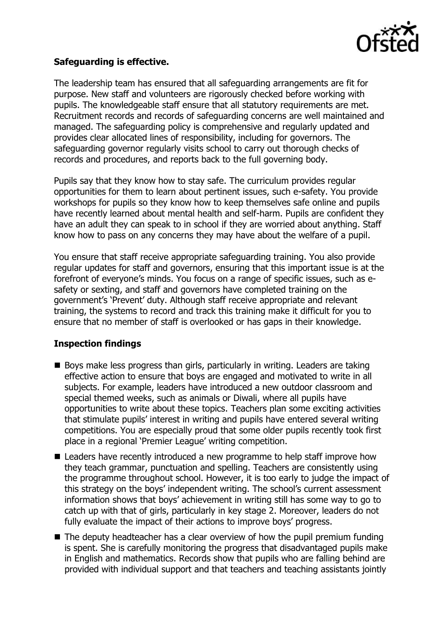

# **Safeguarding is effective.**

The leadership team has ensured that all safeguarding arrangements are fit for purpose. New staff and volunteers are rigorously checked before working with pupils. The knowledgeable staff ensure that all statutory requirements are met. Recruitment records and records of safeguarding concerns are well maintained and managed. The safeguarding policy is comprehensive and regularly updated and provides clear allocated lines of responsibility, including for governors. The safeguarding governor regularly visits school to carry out thorough checks of records and procedures, and reports back to the full governing body.

Pupils say that they know how to stay safe. The curriculum provides regular opportunities for them to learn about pertinent issues, such e-safety. You provide workshops for pupils so they know how to keep themselves safe online and pupils have recently learned about mental health and self-harm. Pupils are confident they have an adult they can speak to in school if they are worried about anything. Staff know how to pass on any concerns they may have about the welfare of a pupil.

You ensure that staff receive appropriate safeguarding training. You also provide regular updates for staff and governors, ensuring that this important issue is at the forefront of everyone's minds. You focus on a range of specific issues, such as esafety or sexting, and staff and governors have completed training on the government's 'Prevent' duty. Although staff receive appropriate and relevant training, the systems to record and track this training make it difficult for you to ensure that no member of staff is overlooked or has gaps in their knowledge.

### **Inspection findings**

- Boys make less progress than girls, particularly in writing. Leaders are taking effective action to ensure that boys are engaged and motivated to write in all subjects. For example, leaders have introduced a new outdoor classroom and special themed weeks, such as animals or Diwali, where all pupils have opportunities to write about these topics. Teachers plan some exciting activities that stimulate pupils' interest in writing and pupils have entered several writing competitions. You are especially proud that some older pupils recently took first place in a regional 'Premier League' writing competition.
- Leaders have recently introduced a new programme to help staff improve how they teach grammar, punctuation and spelling. Teachers are consistently using the programme throughout school. However, it is too early to judge the impact of this strategy on the boys' independent writing. The school's current assessment information shows that boys' achievement in writing still has some way to go to catch up with that of girls, particularly in key stage 2. Moreover, leaders do not fully evaluate the impact of their actions to improve boys' progress.
- $\blacksquare$  The deputy headteacher has a clear overview of how the pupil premium funding is spent. She is carefully monitoring the progress that disadvantaged pupils make in English and mathematics. Records show that pupils who are falling behind are provided with individual support and that teachers and teaching assistants jointly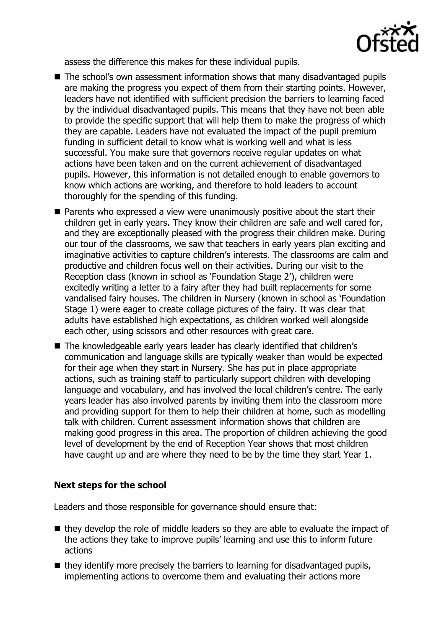

assess the difference this makes for these individual pupils.

- The school's own assessment information shows that many disadvantaged pupils are making the progress you expect of them from their starting points. However, leaders have not identified with sufficient precision the barriers to learning faced by the individual disadvantaged pupils. This means that they have not been able to provide the specific support that will help them to make the progress of which they are capable. Leaders have not evaluated the impact of the pupil premium funding in sufficient detail to know what is working well and what is less successful. You make sure that governors receive regular updates on what actions have been taken and on the current achievement of disadvantaged pupils. However, this information is not detailed enough to enable governors to know which actions are working, and therefore to hold leaders to account thoroughly for the spending of this funding.
- **Parents who expressed a view were unanimously positive about the start their** children get in early years. They know their children are safe and well cared for, and they are exceptionally pleased with the progress their children make. During our tour of the classrooms, we saw that teachers in early years plan exciting and imaginative activities to capture children's interests. The classrooms are calm and productive and children focus well on their activities. During our visit to the Reception class (known in school as 'Foundation Stage 2'), children were excitedly writing a letter to a fairy after they had built replacements for some vandalised fairy houses. The children in Nursery (known in school as 'Foundation Stage 1) were eager to create collage pictures of the fairy. It was clear that adults have established high expectations, as children worked well alongside each other, using scissors and other resources with great care.
- The knowledgeable early years leader has clearly identified that children's communication and language skills are typically weaker than would be expected for their age when they start in Nursery. She has put in place appropriate actions, such as training staff to particularly support children with developing language and vocabulary, and has involved the local children's centre. The early years leader has also involved parents by inviting them into the classroom more and providing support for them to help their children at home, such as modelling talk with children. Current assessment information shows that children are making good progress in this area. The proportion of children achieving the good level of development by the end of Reception Year shows that most children have caught up and are where they need to be by the time they start Year 1.

### **Next steps for the school**

Leaders and those responsible for governance should ensure that:

- $\blacksquare$  they develop the role of middle leaders so they are able to evaluate the impact of the actions they take to improve pupils' learning and use this to inform future actions
- they identify more precisely the barriers to learning for disadvantaged pupils, implementing actions to overcome them and evaluating their actions more